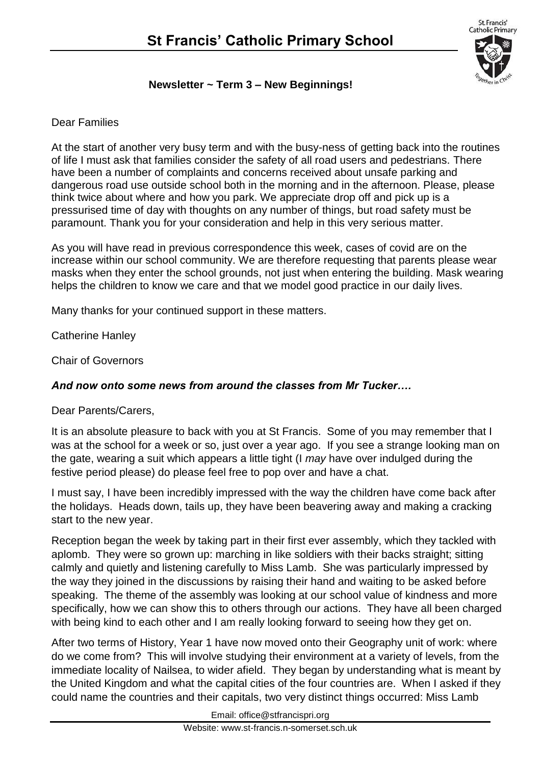

### **Newsletter ~ Term 3 – New Beginnings!**

### Dear Families

At the start of another very busy term and with the busy-ness of getting back into the routines of life I must ask that families consider the safety of all road users and pedestrians. There have been a number of complaints and concerns received about unsafe parking and dangerous road use outside school both in the morning and in the afternoon. Please, please think twice about where and how you park. We appreciate drop off and pick up is a pressurised time of day with thoughts on any number of things, but road safety must be paramount. Thank you for your consideration and help in this very serious matter.

As you will have read in previous correspondence this week, cases of covid are on the increase within our school community. We are therefore requesting that parents please wear masks when they enter the school grounds, not just when entering the building. Mask wearing helps the children to know we care and that we model good practice in our daily lives.

Many thanks for your continued support in these matters.

Catherine Hanley

Chair of Governors

### *And now onto some news from around the classes from Mr Tucker….*

Dear Parents/Carers,

It is an absolute pleasure to back with you at St Francis. Some of you may remember that I was at the school for a week or so, just over a year ago. If you see a strange looking man on the gate, wearing a suit which appears a little tight (I *may* have over indulged during the festive period please) do please feel free to pop over and have a chat.

I must say, I have been incredibly impressed with the way the children have come back after the holidays. Heads down, tails up, they have been beavering away and making a cracking start to the new year.

Reception began the week by taking part in their first ever assembly, which they tackled with aplomb. They were so grown up: marching in like soldiers with their backs straight; sitting calmly and quietly and listening carefully to Miss Lamb. She was particularly impressed by the way they joined in the discussions by raising their hand and waiting to be asked before speaking. The theme of the assembly was looking at our school value of kindness and more specifically, how we can show this to others through our actions. They have all been charged with being kind to each other and I am really looking forward to seeing how they get on.

After two terms of History, Year 1 have now moved onto their Geography unit of work: where do we come from? This will involve studying their environment at a variety of levels, from the immediate locality of Nailsea, to wider afield. They began by understanding what is meant by the United Kingdom and what the capital cities of the four countries are. When I asked if they could name the countries and their capitals, two very distinct things occurred: Miss Lamb

Email: office@stfrancispri.org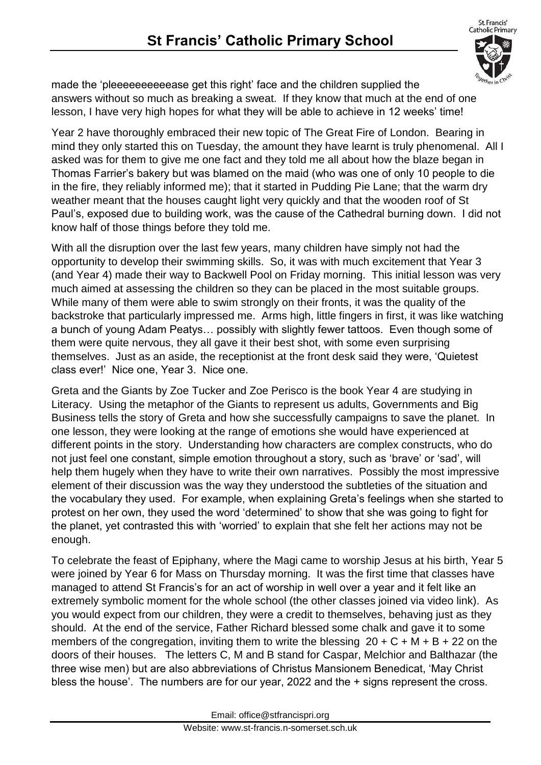

made the 'pleeeeeeeeeease get this right' face and the children supplied the answers without so much as breaking a sweat. If they know that much at the end of one lesson, I have very high hopes for what they will be able to achieve in 12 weeks' time!

Year 2 have thoroughly embraced their new topic of The Great Fire of London. Bearing in mind they only started this on Tuesday, the amount they have learnt is truly phenomenal. All I asked was for them to give me one fact and they told me all about how the blaze began in Thomas Farrier's bakery but was blamed on the maid (who was one of only 10 people to die in the fire, they reliably informed me); that it started in Pudding Pie Lane; that the warm dry weather meant that the houses caught light very quickly and that the wooden roof of St Paul's, exposed due to building work, was the cause of the Cathedral burning down. I did not know half of those things before they told me.

With all the disruption over the last few years, many children have simply not had the opportunity to develop their swimming skills. So, it was with much excitement that Year 3 (and Year 4) made their way to Backwell Pool on Friday morning. This initial lesson was very much aimed at assessing the children so they can be placed in the most suitable groups. While many of them were able to swim strongly on their fronts, it was the quality of the backstroke that particularly impressed me. Arms high, little fingers in first, it was like watching a bunch of young Adam Peatys… possibly with slightly fewer tattoos. Even though some of them were quite nervous, they all gave it their best shot, with some even surprising themselves. Just as an aside, the receptionist at the front desk said they were, 'Quietest class ever!' Nice one, Year 3. Nice one.

Greta and the Giants by Zoe Tucker and Zoe Perisco is the book Year 4 are studying in Literacy. Using the metaphor of the Giants to represent us adults, Governments and Big Business tells the story of Greta and how she successfully campaigns to save the planet. In one lesson, they were looking at the range of emotions she would have experienced at different points in the story. Understanding how characters are complex constructs, who do not just feel one constant, simple emotion throughout a story, such as 'brave' or 'sad', will help them hugely when they have to write their own narratives. Possibly the most impressive element of their discussion was the way they understood the subtleties of the situation and the vocabulary they used. For example, when explaining Greta's feelings when she started to protest on her own, they used the word 'determined' to show that she was going to fight for the planet, yet contrasted this with 'worried' to explain that she felt her actions may not be enough.

To celebrate the feast of Epiphany, where the Magi came to worship Jesus at his birth, Year 5 were joined by Year 6 for Mass on Thursday morning. It was the first time that classes have managed to attend St Francis's for an act of worship in well over a year and it felt like an extremely symbolic moment for the whole school (the other classes joined via video link). As you would expect from our children, they were a credit to themselves, behaving just as they should. At the end of the service, Father Richard blessed some chalk and gave it to some members of the congregation, inviting them to write the blessing  $20 + C + M + B + 22$  on the doors of their houses. The letters C, M and B stand for Caspar, Melchior and Balthazar (the three wise men) but are also abbreviations of Christus Mansionem Benedicat, 'May Christ bless the house'. The numbers are for our year, 2022 and the + signs represent the cross.

Email: office@stfrancispri.org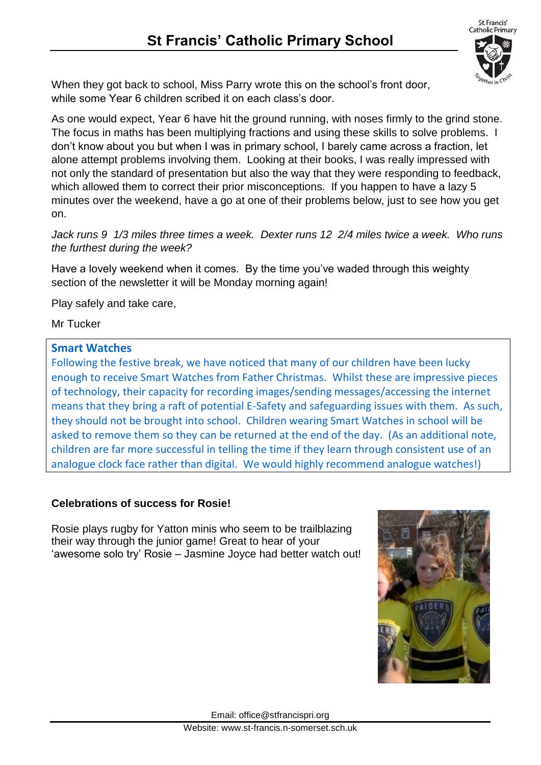

When they got back to school, Miss Parry wrote this on the school's front door, while some Year 6 children scribed it on each class's door.

As one would expect, Year 6 have hit the ground running, with noses firmly to the grind stone. The focus in maths has been multiplying fractions and using these skills to solve problems. I don't know about you but when I was in primary school, I barely came across a fraction, let alone attempt problems involving them. Looking at their books, I was really impressed with not only the standard of presentation but also the way that they were responding to feedback, which allowed them to correct their prior misconceptions. If you happen to have a lazy 5 minutes over the weekend, have a go at one of their problems below, just to see how you get on.

*Jack runs 9 1/3 miles three times a week. Dexter runs 12 2/4 miles twice a week. Who runs the furthest during the week?*

Have a lovely weekend when it comes. By the time you've waded through this weighty section of the newsletter it will be Monday morning again!

Play safely and take care,

Mr Tucker

# **Smart Watches**

Following the festive break, we have noticed that many of our children have been lucky enough to receive Smart Watches from Father Christmas. Whilst these are impressive pieces of technology, their capacity for recording images/sending messages/accessing the internet means that they bring a raft of potential E-Safety and safeguarding issues with them. As such, they should not be brought into school. Children wearing Smart Watches in school will be asked to remove them so they can be returned at the end of the day. (As an additional note, children are far more successful in telling the time if they learn through consistent use of an analogue clock face rather than digital. We would highly recommend analogue watches!)

### **Celebrations of success for Rosie!**

Rosie plays rugby for Yatton minis who seem to be trailblazing their way through the junior game! Great to hear of your 'awesome solo try' Rosie – Jasmine Joyce had better watch out!